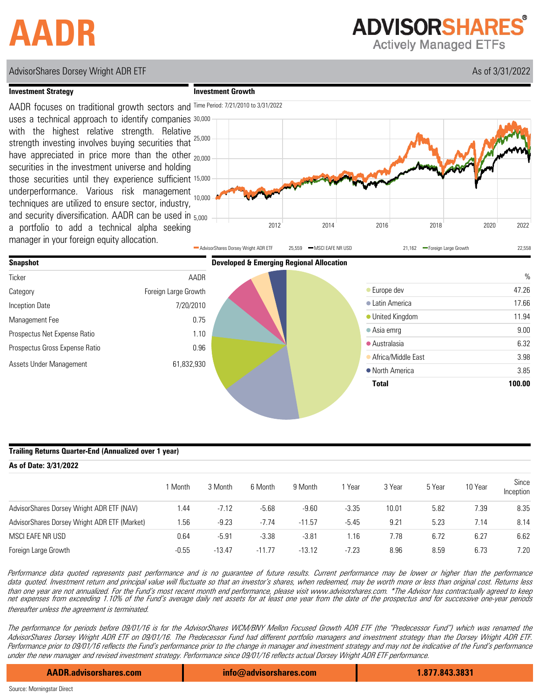# **AADR**

**ADVISORSHARES Actively Managed ETFs** 

# AdvisorShares Dorsey Wright ADR ETF As of 3/31/2022 As of 3/31/2022

### **Investment Strategy**

**Investment Growth**







### **Trailing Returns Quarter-End (Annualized over 1 year)**

#### **As of Date: 3/31/2022** Since<br>1 Month 3 Month 6 Month 9 Month 1 Year 3 Year 5 Year 10 Year Since Inception AdvisorShares Dorsey Wright ADR ETF (NAV) AdvisorShares Dorsey Wright ADR ETF (Market) MSCI EAFE NR USD Foreign Large Growth 0.64 -5.91 -3.38 -3.81 1.16 7.78 6.72 6.27 6.62 1.44 -7.12 -5.68 -9.60 -3.35 10.01 5.82 7.39 8.35 -0.55 -13.47 -11.77 -13.12 -7.23 8.96 8.59 6.73 7.20 1.56 -9.23 -7.74 -11.57 -5.45 9.21 5.23 7.14 8.14

Performance data quoted represents past performance and is no guarantee of future results. Current performance may be lower or higher than the performance data quoted. Investment return and principal value will fluctuate so that an investor's shares, when redeemed, may be worth more or less than original cost. Returns less than one year are not annualized. For the Fund's most recent month end performance, please visit www.advisorshares.com. \*The Advisor has contractually agreed to keep net expenses from exceeding 1.10% of the Fund's average daily net assets for at least one year from the date of the prospectus and for successive one-year periods thereafter unless the agreement is terminated.

The performance for periods before 09/01/16 is for the AdvisorShares WCM/BNY Mellon Focused Growth ADR ETF (the "Predecessor Fund") which was renamed the AdvisorShares Dorsey Wright ADR ETF on 09/01/16. The Predecessor Fund had different portfolio managers and investment strategy than the Dorsey Wright ADR ETF. Performance prior to 09/01/16 reflects the Fund's performance prior to the change in manager and investment strategy and may not be indicative of the Fund's performance under the new manager and revised investment strategy. Performance since 09/01/16 reflects actual Dorsey Wright ADR ETF performance.

**AADR.advisorshares.com info@advisorshares.com 1.877.843.3831**